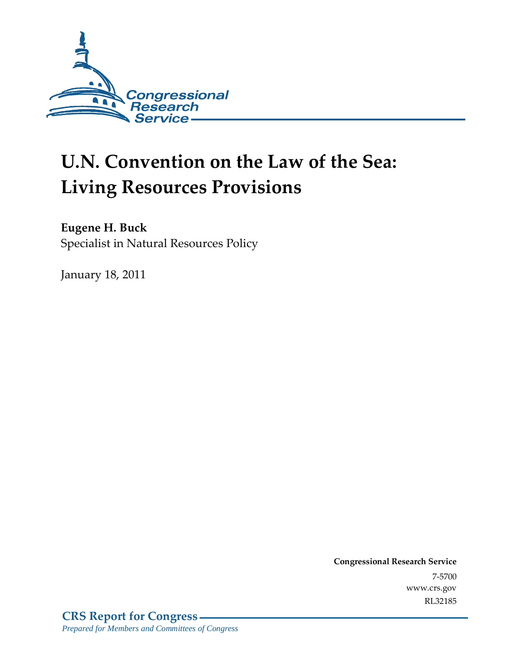

# **U.N. Convention on the Law of the Sea: Living Resources Provisions**

#### **Eugene H. Buck**

Specialist in Natural Resources Policy

January 18, 2011

**Congressional Research Service** 7-5700 www.crs.gov RL32185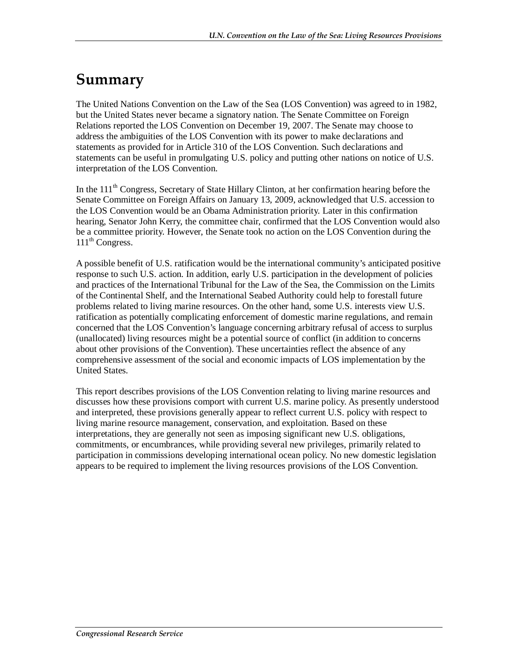## **Summary**

The United Nations Convention on the Law of the Sea (LOS Convention) was agreed to in 1982, but the United States never became a signatory nation. The Senate Committee on Foreign Relations reported the LOS Convention on December 19, 2007. The Senate may choose to address the ambiguities of the LOS Convention with its power to make declarations and statements as provided for in Article 310 of the LOS Convention. Such declarations and statements can be useful in promulgating U.S. policy and putting other nations on notice of U.S. interpretation of the LOS Convention.

In the  $111<sup>th</sup>$  Congress, Secretary of State Hillary Clinton, at her confirmation hearing before the Senate Committee on Foreign Affairs on January 13, 2009, acknowledged that U.S. accession to the LOS Convention would be an Obama Administration priority. Later in this confirmation hearing, Senator John Kerry, the committee chair, confirmed that the LOS Convention would also be a committee priority. However, the Senate took no action on the LOS Convention during the  $111<sup>th</sup>$  Congress.

A possible benefit of U.S. ratification would be the international community's anticipated positive response to such U.S. action. In addition, early U.S. participation in the development of policies and practices of the International Tribunal for the Law of the Sea, the Commission on the Limits of the Continental Shelf, and the International Seabed Authority could help to forestall future problems related to living marine resources. On the other hand, some U.S. interests view U.S. ratification as potentially complicating enforcement of domestic marine regulations, and remain concerned that the LOS Convention's language concerning arbitrary refusal of access to surplus (unallocated) living resources might be a potential source of conflict (in addition to concerns about other provisions of the Convention). These uncertainties reflect the absence of any comprehensive assessment of the social and economic impacts of LOS implementation by the United States.

This report describes provisions of the LOS Convention relating to living marine resources and discusses how these provisions comport with current U.S. marine policy. As presently understood and interpreted, these provisions generally appear to reflect current U.S. policy with respect to living marine resource management, conservation, and exploitation. Based on these interpretations, they are generally not seen as imposing significant new U.S. obligations, commitments, or encumbrances, while providing several new privileges, primarily related to participation in commissions developing international ocean policy. No new domestic legislation appears to be required to implement the living resources provisions of the LOS Convention.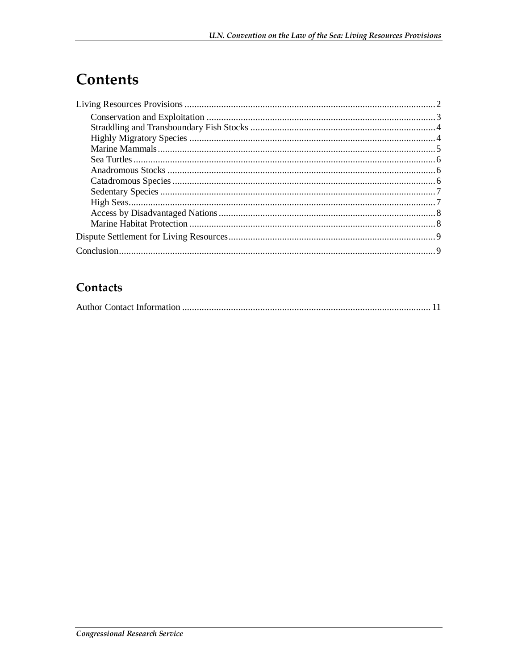# Contents

#### Contacts

|--|--|--|--|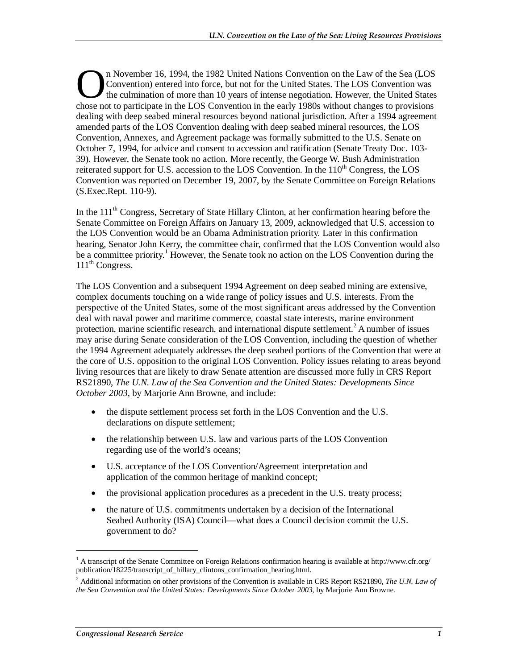n November 16, 1994, the 1982 United Nations Convention on the Law of the Sea (LOS Convention) entered into force, but not for the United States. The LOS Convention was the culmination of more than 10 years of intense negotiation. However, the United States **Convention**) entered into force, but not for the United States. The LOS Convention was the culmination of more than 10 years of intense negotiation. However, the United States chose not to participate in the LOS Conventio dealing with deep seabed mineral resources beyond national jurisdiction. After a 1994 agreement amended parts of the LOS Convention dealing with deep seabed mineral resources, the LOS Convention, Annexes, and Agreement package was formally submitted to the U.S. Senate on October 7, 1994, for advice and consent to accession and ratification (Senate Treaty Doc. 103- 39). However, the Senate took no action. More recently, the George W. Bush Administration reiterated support for U.S. accession to the LOS Convention. In the  $110<sup>th</sup>$  Congress, the LOS Convention was reported on December 19, 2007, by the Senate Committee on Foreign Relations (S.Exec.Rept. 110-9).

In the 111<sup>th</sup> Congress, Secretary of State Hillary Clinton, at her confirmation hearing before the Senate Committee on Foreign Affairs on January 13, 2009, acknowledged that U.S. accession to the LOS Convention would be an Obama Administration priority. Later in this confirmation hearing, Senator John Kerry, the committee chair, confirmed that the LOS Convention would also be a committee priority.<sup>1</sup> However, the Senate took no action on the LOS Convention during the 111<sup>th</sup> Congress.

The LOS Convention and a subsequent 1994 Agreement on deep seabed mining are extensive, complex documents touching on a wide range of policy issues and U.S. interests. From the perspective of the United States, some of the most significant areas addressed by the Convention deal with naval power and maritime commerce, coastal state interests, marine environment protection, marine scientific research, and international dispute settlement.<sup>2</sup> A number of issues may arise during Senate consideration of the LOS Convention, including the question of whether the 1994 Agreement adequately addresses the deep seabed portions of the Convention that were at the core of U.S. opposition to the original LOS Convention. Policy issues relating to areas beyond living resources that are likely to draw Senate attention are discussed more fully in CRS Report RS21890, *The U.N. Law of the Sea Convention and the United States: Developments Since October 2003*, by Marjorie Ann Browne, and include:

- the dispute settlement process set forth in the LOS Convention and the U.S. declarations on dispute settlement;
- the relationship between U.S. law and various parts of the LOS Convention regarding use of the world's oceans;
- U.S. acceptance of the LOS Convention/Agreement interpretation and application of the common heritage of mankind concept;
- the provisional application procedures as a precedent in the U.S. treaty process;
- the nature of U.S. commitments undertaken by a decision of the International Seabed Authority (ISA) Council—what does a Council decision commit the U.S. government to do?

<u>.</u>

<sup>&</sup>lt;sup>1</sup> A transcript of the Senate Committee on Foreign Relations confirmation hearing is available at http://www.cfr.org/ publication/18225/transcript\_of\_hillary\_clintons\_confirmation\_hearing.html.

<sup>2</sup> Additional information on other provisions of the Convention is available in CRS Report RS21890, *The U.N. Law of the Sea Convention and the United States: Developments Since October 2003*, by Marjorie Ann Browne.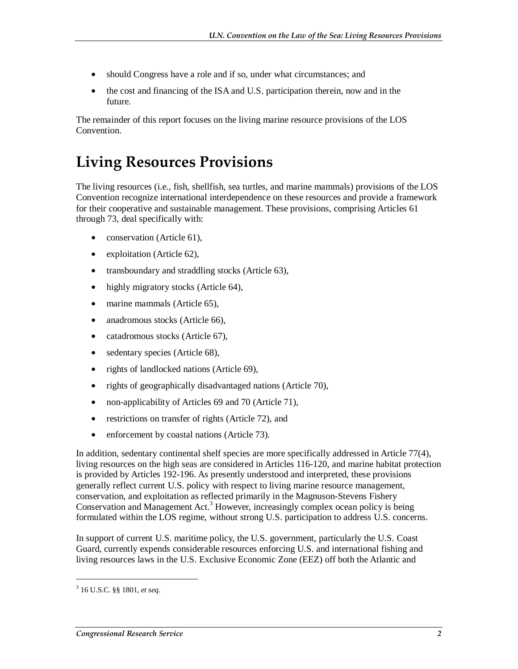- should Congress have a role and if so, under what circumstances; and
- the cost and financing of the ISA and U.S. participation therein, now and in the future.

The remainder of this report focuses on the living marine resource provisions of the LOS Convention.

### **Living Resources Provisions**

The living resources (i.e., fish, shellfish, sea turtles, and marine mammals) provisions of the LOS Convention recognize international interdependence on these resources and provide a framework for their cooperative and sustainable management. These provisions, comprising Articles 61 through 73, deal specifically with:

- conservation (Article 61),
- exploitation (Article 62),
- transboundary and straddling stocks (Article 63),
- highly migratory stocks (Article 64),
- marine mammals (Article 65),
- anadromous stocks (Article 66),
- catadromous stocks (Article 67),
- sedentary species (Article 68),
- rights of landlocked nations (Article 69),
- rights of geographically disadvantaged nations (Article 70),
- non-applicability of Articles 69 and 70 (Article 71),
- restrictions on transfer of rights (Article 72), and
- enforcement by coastal nations (Article 73).

In addition, sedentary continental shelf species are more specifically addressed in Article 77(4), living resources on the high seas are considered in Articles 116-120, and marine habitat protection is provided by Articles 192-196. As presently understood and interpreted, these provisions generally reflect current U.S. policy with respect to living marine resource management, conservation, and exploitation as reflected primarily in the Magnuson-Stevens Fishery Conservation and Management Act.<sup>3</sup> However, increasingly complex ocean policy is being formulated within the LOS regime, without strong U.S. participation to address U.S. concerns.

In support of current U.S. maritime policy, the U.S. government, particularly the U.S. Coast Guard, currently expends considerable resources enforcing U.S. and international fishing and living resources laws in the U.S. Exclusive Economic Zone (EEZ) off both the Atlantic and

<sup>3</sup> 16 U.S.C. §§ 1801, *et seq*.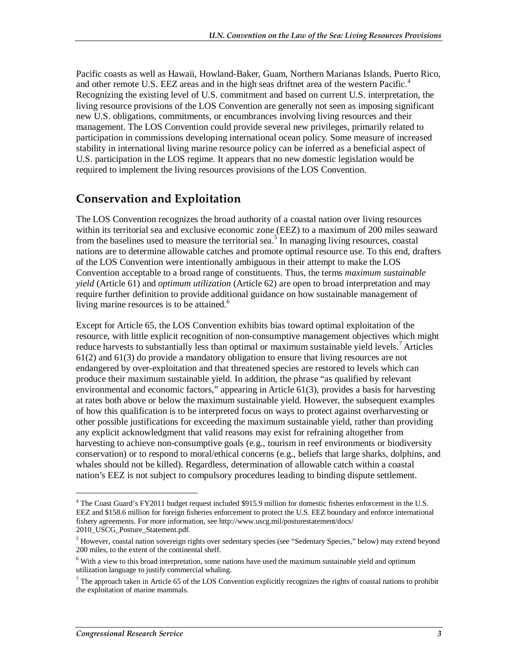Pacific coasts as well as Hawaii, Howland-Baker, Guam, Northern Marianas Islands, Puerto Rico, and other remote U.S. EEZ areas and in the high seas driftnet area of the western Pacific.<sup>4</sup> Recognizing the existing level of U.S. commitment and based on current U.S. interpretation, the living resource provisions of the LOS Convention are generally not seen as imposing significant new U.S. obligations, commitments, or encumbrances involving living resources and their management. The LOS Convention could provide several new privileges, primarily related to participation in commissions developing international ocean policy. Some measure of increased stability in international living marine resource policy can be inferred as a beneficial aspect of U.S. participation in the LOS regime. It appears that no new domestic legislation would be required to implement the living resources provisions of the LOS Convention.

#### **Conservation and Exploitation**

The LOS Convention recognizes the broad authority of a coastal nation over living resources within its territorial sea and exclusive economic zone (EEZ) to a maximum of 200 miles seaward from the baselines used to measure the territorial sea.<sup>5</sup> In managing living resources, coastal nations are to determine allowable catches and promote optimal resource use. To this end, drafters of the LOS Convention were intentionally ambiguous in their attempt to make the LOS Convention acceptable to a broad range of constituents. Thus, the terms *maximum sustainable yield* (Article 61) and *optimum utilization* (Article 62) are open to broad interpretation and may require further definition to provide additional guidance on how sustainable management of living marine resources is to be attained. $6$ 

Except for Article 65, the LOS Convention exhibits bias toward optimal exploitation of the resource, with little explicit recognition of non-consumptive management objectives which might reduce harvests to substantially less than optimal or maximum sustainable yield levels.<sup>7</sup> Articles 61(2) and 61(3) do provide a mandatory obligation to ensure that living resources are not endangered by over-exploitation and that threatened species are restored to levels which can produce their maximum sustainable yield. In addition, the phrase "as qualified by relevant environmental and economic factors," appearing in Article 61(3), provides a basis for harvesting at rates both above or below the maximum sustainable yield. However, the subsequent examples of how this qualification is to be interpreted focus on ways to protect against overharvesting or other possible justifications for exceeding the maximum sustainable yield, rather than providing any explicit acknowledgment that valid reasons may exist for refraining altogether from harvesting to achieve non-consumptive goals (e.g., tourism in reef environments or biodiversity conservation) or to respond to moral/ethical concerns (e.g., beliefs that large sharks, dolphins, and whales should not be killed). Regardless, determination of allowable catch within a coastal nation's EEZ is not subject to compulsory procedures leading to binding dispute settlement.

<sup>&</sup>lt;sup>4</sup> The Coast Guard's FY2011 budget request included \$915.9 million for domestic fisheries enforcement in the U.S. EEZ and \$158.6 million for foreign fisheries enforcement to protect the U.S. EEZ boundary and enforce international fishery agreements. For more information, see http://www.uscg.mil/posturestatement/docs/ 2010\_USCG\_Posture\_Statement.pdf.

<sup>&</sup>lt;sup>5</sup> However, coastal nation sovereign rights over sedentary species (see "Sedentary Species," below) may extend beyond 200 miles, to the extent of the continental shelf.

<sup>&</sup>lt;sup>6</sup> With a view to this broad interpretation, some nations have used the maximum sustainable yield and optimum utilization language to justify commercial whaling.

 $<sup>7</sup>$  The approach taken in Article 65 of the LOS Convention explicitly recognizes the rights of coastal nations to prohibit</sup> the exploitation of marine mammals.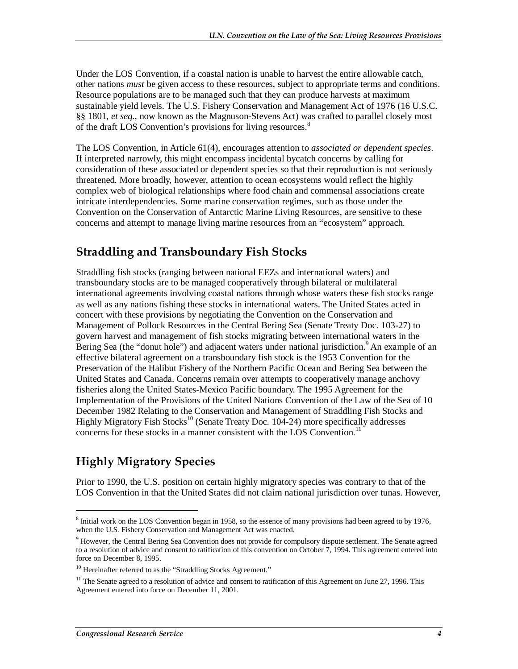Under the LOS Convention, if a coastal nation is unable to harvest the entire allowable catch, other nations *must* be given access to these resources, subject to appropriate terms and conditions. Resource populations are to be managed such that they can produce harvests at maximum sustainable yield levels. The U.S. Fishery Conservation and Management Act of 1976 (16 U.S.C. §§ 1801, *et seq.*, now known as the Magnuson-Stevens Act) was crafted to parallel closely most of the draft LOS Convention's provisions for living resources.<sup>8</sup>

The LOS Convention, in Article 61(4), encourages attention to *associated or dependent species*. If interpreted narrowly, this might encompass incidental bycatch concerns by calling for consideration of these associated or dependent species so that their reproduction is not seriously threatened. More broadly, however, attention to ocean ecosystems would reflect the highly complex web of biological relationships where food chain and commensal associations create intricate interdependencies. Some marine conservation regimes, such as those under the Convention on the Conservation of Antarctic Marine Living Resources, are sensitive to these concerns and attempt to manage living marine resources from an "ecosystem" approach.

#### **Straddling and Transboundary Fish Stocks**

Straddling fish stocks (ranging between national EEZs and international waters) and transboundary stocks are to be managed cooperatively through bilateral or multilateral international agreements involving coastal nations through whose waters these fish stocks range as well as any nations fishing these stocks in international waters. The United States acted in concert with these provisions by negotiating the Convention on the Conservation and Management of Pollock Resources in the Central Bering Sea (Senate Treaty Doc. 103-27) to govern harvest and management of fish stocks migrating between international waters in the Bering Sea (the "donut hole") and adjacent waters under national jurisdiction. <sup>9</sup> An example of an effective bilateral agreement on a transboundary fish stock is the 1953 Convention for the Preservation of the Halibut Fishery of the Northern Pacific Ocean and Bering Sea between the United States and Canada. Concerns remain over attempts to cooperatively manage anchovy fisheries along the United States-Mexico Pacific boundary. The 1995 Agreement for the Implementation of the Provisions of the United Nations Convention of the Law of the Sea of 10 December 1982 Relating to the Conservation and Management of Straddling Fish Stocks and Highly Migratory Fish Stocks<sup>10</sup> (Senate Treaty Doc. 104-24) more specifically addresses concerns for these stocks in a manner consistent with the LOS Convention.<sup>11</sup>

### **Highly Migratory Species**

Prior to 1990, the U.S. position on certain highly migratory species was contrary to that of the LOS Convention in that the United States did not claim national jurisdiction over tunas. However,

<u>.</u>

<sup>&</sup>lt;sup>8</sup> Initial work on the LOS Convention began in 1958, so the essence of many provisions had been agreed to by 1976, when the U.S. Fishery Conservation and Management Act was enacted.

<sup>&</sup>lt;sup>9</sup> However, the Central Bering Sea Convention does not provide for compulsory dispute settlement. The Senate agreed to a resolution of advice and consent to ratification of this convention on October 7, 1994. This agreement entered into force on December 8, 1995.

<sup>&</sup>lt;sup>10</sup> Hereinafter referred to as the "Straddling Stocks Agreement."

 $11$  The Senate agreed to a resolution of advice and consent to ratification of this Agreement on June 27, 1996. This Agreement entered into force on December 11, 2001.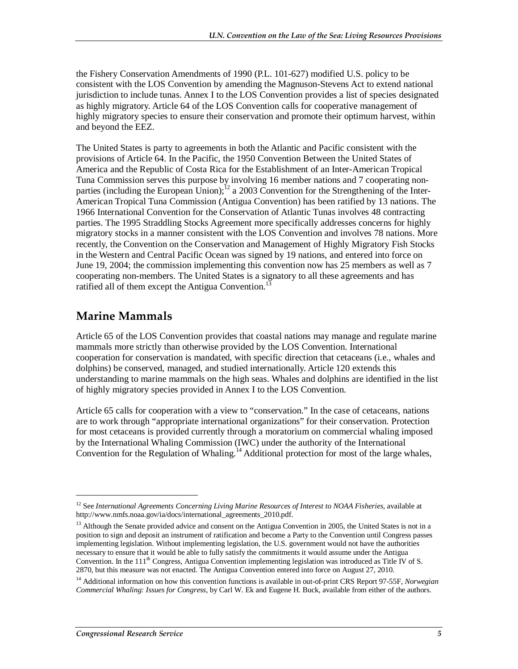the Fishery Conservation Amendments of 1990 (P.L. 101-627) modified U.S. policy to be consistent with the LOS Convention by amending the Magnuson-Stevens Act to extend national jurisdiction to include tunas. Annex I to the LOS Convention provides a list of species designated as highly migratory. Article 64 of the LOS Convention calls for cooperative management of highly migratory species to ensure their conservation and promote their optimum harvest, within and beyond the EEZ.

The United States is party to agreements in both the Atlantic and Pacific consistent with the provisions of Article 64. In the Pacific, the 1950 Convention Between the United States of America and the Republic of Costa Rica for the Establishment of an Inter-American Tropical Tuna Commission serves this purpose by involving 16 member nations and 7 cooperating nonparties (including the European Union);<sup>12</sup> a 2003 Convention for the Strengthening of the Inter-American Tropical Tuna Commission (Antigua Convention) has been ratified by 13 nations. The 1966 International Convention for the Conservation of Atlantic Tunas involves 48 contracting parties. The 1995 Straddling Stocks Agreement more specifically addresses concerns for highly migratory stocks in a manner consistent with the LOS Convention and involves 78 nations. More recently, the Convention on the Conservation and Management of Highly Migratory Fish Stocks in the Western and Central Pacific Ocean was signed by 19 nations, and entered into force on June 19, 2004; the commission implementing this convention now has 25 members as well as 7 cooperating non-members. The United States is a signatory to all these agreements and has ratified all of them except the Antigua Convention.<sup>1</sup>

#### **Marine Mammals**

Article 65 of the LOS Convention provides that coastal nations may manage and regulate marine mammals more strictly than otherwise provided by the LOS Convention. International cooperation for conservation is mandated, with specific direction that cetaceans (i.e., whales and dolphins) be conserved, managed, and studied internationally. Article 120 extends this understanding to marine mammals on the high seas. Whales and dolphins are identified in the list of highly migratory species provided in Annex I to the LOS Convention.

Article 65 calls for cooperation with a view to "conservation." In the case of cetaceans, nations are to work through "appropriate international organizations" for their conservation. Protection for most cetaceans is provided currently through a moratorium on commercial whaling imposed by the International Whaling Commission (IWC) under the authority of the International Convention for the Regulation of Whaling.<sup>14</sup> Additional protection for most of the large whales,

<sup>12</sup> See *International Agreements Concerning Living Marine Resources of Interest to NOAA Fisheries*, available at http://www.nmfs.noaa.gov/ia/docs/international\_agreements\_2010.pdf.

<sup>&</sup>lt;sup>13</sup> Although the Senate provided advice and consent on the Antigua Convention in 2005, the United States is not in a position to sign and deposit an instrument of ratification and become a Party to the Convention until Congress passes implementing legislation. Without implementing legislation, the U.S. government would not have the authorities necessary to ensure that it would be able to fully satisfy the commitments it would assume under the Antigua Convention. In the  $111<sup>th</sup>$  Congress, Antigua Convention implementing legislation was introduced as Title IV of S. 2870, but this measure was not enacted. The Antigua Convention entered into force on August 27, 2010.

<sup>14</sup> Additional information on how this convention functions is available in out-of-print CRS Report 97-55F, *Norwegian Commercial Whaling: Issues for Congress*, by Carl W. Ek and Eugene H. Buck, available from either of the authors.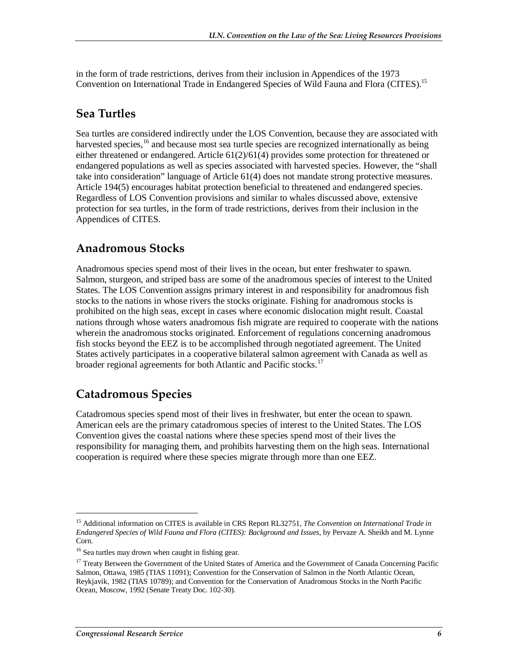in the form of trade restrictions, derives from their inclusion in Appendices of the 1973 Convention on International Trade in Endangered Species of Wild Fauna and Flora (CITES).15

#### **Sea Turtles**

Sea turtles are considered indirectly under the LOS Convention, because they are associated with harvested species, <sup>16</sup> and because most sea turtle species are recognized internationally as being either threatened or endangered. Article 61(2)/61(4) provides some protection for threatened or endangered populations as well as species associated with harvested species. However, the "shall take into consideration" language of Article 61(4) does not mandate strong protective measures. Article 194(5) encourages habitat protection beneficial to threatened and endangered species. Regardless of LOS Convention provisions and similar to whales discussed above, extensive protection for sea turtles, in the form of trade restrictions, derives from their inclusion in the Appendices of CITES.

#### **Anadromous Stocks**

Anadromous species spend most of their lives in the ocean, but enter freshwater to spawn. Salmon, sturgeon, and striped bass are some of the anadromous species of interest to the United States. The LOS Convention assigns primary interest in and responsibility for anadromous fish stocks to the nations in whose rivers the stocks originate. Fishing for anadromous stocks is prohibited on the high seas, except in cases where economic dislocation might result. Coastal nations through whose waters anadromous fish migrate are required to cooperate with the nations wherein the anadromous stocks originated. Enforcement of regulations concerning anadromous fish stocks beyond the EEZ is to be accomplished through negotiated agreement. The United States actively participates in a cooperative bilateral salmon agreement with Canada as well as broader regional agreements for both Atlantic and Pacific stocks.<sup>17</sup>

### **Catadromous Species**

Catadromous species spend most of their lives in freshwater, but enter the ocean to spawn. American eels are the primary catadromous species of interest to the United States. The LOS Convention gives the coastal nations where these species spend most of their lives the responsibility for managing them, and prohibits harvesting them on the high seas. International cooperation is required where these species migrate through more than one EEZ.

<sup>15</sup> Additional information on CITES is available in CRS Report RL32751, *The Convention on International Trade in Endangered Species of Wild Fauna and Flora (CITES): Background and Issues*, by Pervaze A. Sheikh and M. Lynne Corn.

<sup>&</sup>lt;sup>16</sup> Sea turtles may drown when caught in fishing gear.

<sup>&</sup>lt;sup>17</sup> Treaty Between the Government of the United States of America and the Government of Canada Concerning Pacific Salmon, Ottawa, 1985 (TIAS 11091); Convention for the Conservation of Salmon in the North Atlantic Ocean, Reykjavik, 1982 (TIAS 10789); and Convention for the Conservation of Anadromous Stocks in the North Pacific Ocean, Moscow, 1992 (Senate Treaty Doc. 102-30).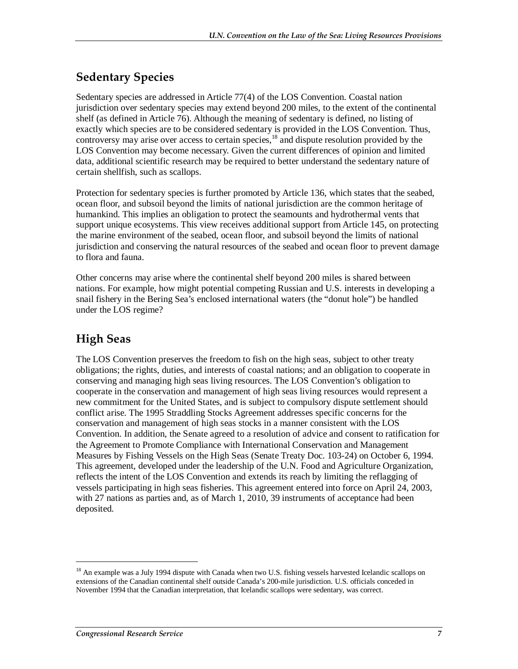#### **Sedentary Species**

Sedentary species are addressed in Article 77(4) of the LOS Convention. Coastal nation jurisdiction over sedentary species may extend beyond 200 miles, to the extent of the continental shelf (as defined in Article 76). Although the meaning of sedentary is defined, no listing of exactly which species are to be considered sedentary is provided in the LOS Convention. Thus, controversy may arise over access to certain species, $18$  and dispute resolution provided by the LOS Convention may become necessary. Given the current differences of opinion and limited data, additional scientific research may be required to better understand the sedentary nature of certain shellfish, such as scallops.

Protection for sedentary species is further promoted by Article 136, which states that the seabed, ocean floor, and subsoil beyond the limits of national jurisdiction are the common heritage of humankind. This implies an obligation to protect the seamounts and hydrothermal vents that support unique ecosystems. This view receives additional support from Article 145, on protecting the marine environment of the seabed, ocean floor, and subsoil beyond the limits of national jurisdiction and conserving the natural resources of the seabed and ocean floor to prevent damage to flora and fauna.

Other concerns may arise where the continental shelf beyond 200 miles is shared between nations. For example, how might potential competing Russian and U.S. interests in developing a snail fishery in the Bering Sea's enclosed international waters (the "donut hole") be handled under the LOS regime?

### **High Seas**

The LOS Convention preserves the freedom to fish on the high seas, subject to other treaty obligations; the rights, duties, and interests of coastal nations; and an obligation to cooperate in conserving and managing high seas living resources. The LOS Convention's obligation to cooperate in the conservation and management of high seas living resources would represent a new commitment for the United States, and is subject to compulsory dispute settlement should conflict arise. The 1995 Straddling Stocks Agreement addresses specific concerns for the conservation and management of high seas stocks in a manner consistent with the LOS Convention. In addition, the Senate agreed to a resolution of advice and consent to ratification for the Agreement to Promote Compliance with International Conservation and Management Measures by Fishing Vessels on the High Seas (Senate Treaty Doc. 103-24) on October 6, 1994. This agreement, developed under the leadership of the U.N. Food and Agriculture Organization, reflects the intent of the LOS Convention and extends its reach by limiting the reflagging of vessels participating in high seas fisheries. This agreement entered into force on April 24, 2003, with 27 nations as parties and, as of March 1, 2010, 39 instruments of acceptance had been deposited.

<sup>&</sup>lt;sup>18</sup> An example was a July 1994 dispute with Canada when two U.S. fishing vessels harvested Icelandic scallops on extensions of the Canadian continental shelf outside Canada's 200-mile jurisdiction. U.S. officials conceded in November 1994 that the Canadian interpretation, that Icelandic scallops were sedentary, was correct.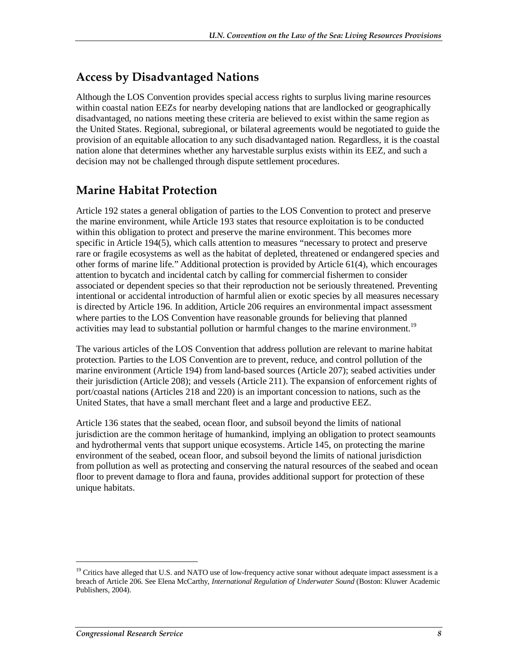#### **Access by Disadvantaged Nations**

Although the LOS Convention provides special access rights to surplus living marine resources within coastal nation EEZs for nearby developing nations that are landlocked or geographically disadvantaged, no nations meeting these criteria are believed to exist within the same region as the United States. Regional, subregional, or bilateral agreements would be negotiated to guide the provision of an equitable allocation to any such disadvantaged nation. Regardless, it is the coastal nation alone that determines whether any harvestable surplus exists within its EEZ, and such a decision may not be challenged through dispute settlement procedures.

#### **Marine Habitat Protection**

Article 192 states a general obligation of parties to the LOS Convention to protect and preserve the marine environment, while Article 193 states that resource exploitation is to be conducted within this obligation to protect and preserve the marine environment. This becomes more specific in Article 194(5), which calls attention to measures "necessary to protect and preserve rare or fragile ecosystems as well as the habitat of depleted, threatened or endangered species and other forms of marine life." Additional protection is provided by Article 61(4), which encourages attention to bycatch and incidental catch by calling for commercial fishermen to consider associated or dependent species so that their reproduction not be seriously threatened. Preventing intentional or accidental introduction of harmful alien or exotic species by all measures necessary is directed by Article 196. In addition, Article 206 requires an environmental impact assessment where parties to the LOS Convention have reasonable grounds for believing that planned activities may lead to substantial pollution or harmful changes to the marine environment.<sup>19</sup>

The various articles of the LOS Convention that address pollution are relevant to marine habitat protection. Parties to the LOS Convention are to prevent, reduce, and control pollution of the marine environment (Article 194) from land-based sources (Article 207); seabed activities under their jurisdiction (Article 208); and vessels (Article 211). The expansion of enforcement rights of port/coastal nations (Articles 218 and 220) is an important concession to nations, such as the United States, that have a small merchant fleet and a large and productive EEZ.

Article 136 states that the seabed, ocean floor, and subsoil beyond the limits of national jurisdiction are the common heritage of humankind, implying an obligation to protect seamounts and hydrothermal vents that support unique ecosystems. Article 145, on protecting the marine environment of the seabed, ocean floor, and subsoil beyond the limits of national jurisdiction from pollution as well as protecting and conserving the natural resources of the seabed and ocean floor to prevent damage to flora and fauna, provides additional support for protection of these unique habitats.

<sup>&</sup>lt;sup>19</sup> Critics have alleged that U.S. and NATO use of low-frequency active sonar without adequate impact assessment is a breach of Article 206. See Elena McCarthy, *International Regulation of Underwater Sound* (Boston: Kluwer Academic Publishers, 2004).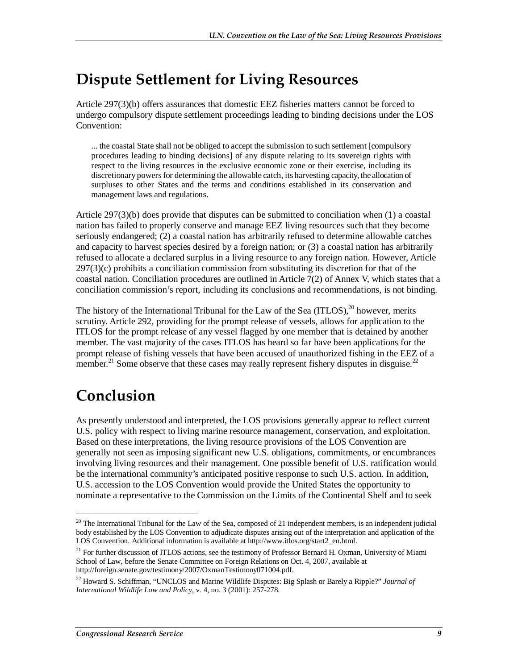## **Dispute Settlement for Living Resources**

Article 297(3)(b) offers assurances that domestic EEZ fisheries matters cannot be forced to undergo compulsory dispute settlement proceedings leading to binding decisions under the LOS Convention:

... the coastal State shall not be obliged to accept the submission to such settlement [compulsory procedures leading to binding decisions] of any dispute relating to its sovereign rights with respect to the living resources in the exclusive economic zone or their exercise, including its discretionary powers for determining the allowable catch, its harvesting capacity, the allocation of surpluses to other States and the terms and conditions established in its conservation and management laws and regulations.

Article 297(3)(b) does provide that disputes can be submitted to conciliation when (1) a coastal nation has failed to properly conserve and manage EEZ living resources such that they become seriously endangered; (2) a coastal nation has arbitrarily refused to determine allowable catches and capacity to harvest species desired by a foreign nation; or (3) a coastal nation has arbitrarily refused to allocate a declared surplus in a living resource to any foreign nation. However, Article  $297(3)$ (c) prohibits a conciliation commission from substituting its discretion for that of the coastal nation. Conciliation procedures are outlined in Article 7(2) of Annex V, which states that a conciliation commission's report, including its conclusions and recommendations, is not binding.

The history of the International Tribunal for the Law of the Sea  $(ITLOS)$ ,  $^{20}$  however, merits scrutiny. Article 292, providing for the prompt release of vessels, allows for application to the ITLOS for the prompt release of any vessel flagged by one member that is detained by another member. The vast majority of the cases ITLOS has heard so far have been applications for the prompt release of fishing vessels that have been accused of unauthorized fishing in the EEZ of a member.<sup>21</sup> Some observe that these cases may really represent fishery disputes in disguise.<sup>22</sup>

# **Conclusion**

1

As presently understood and interpreted, the LOS provisions generally appear to reflect current U.S. policy with respect to living marine resource management, conservation, and exploitation. Based on these interpretations, the living resource provisions of the LOS Convention are generally not seen as imposing significant new U.S. obligations, commitments, or encumbrances involving living resources and their management. One possible benefit of U.S. ratification would be the international community's anticipated positive response to such U.S. action. In addition, U.S. accession to the LOS Convention would provide the United States the opportunity to nominate a representative to the Commission on the Limits of the Continental Shelf and to seek

 $20$  The International Tribunal for the Law of the Sea, composed of 21 independent members, is an independent judicial body established by the LOS Convention to adjudicate disputes arising out of the interpretation and application of the LOS Convention. Additional information is available at http://www.itlos.org/start2\_en.html.

<sup>&</sup>lt;sup>21</sup> For further discussion of ITLOS actions, see the testimony of Professor Bernard H. Oxman, University of Miami School of Law, before the Senate Committee on Foreign Relations on Oct. 4, 2007, available at http://foreign.senate.gov/testimony/2007/OxmanTestimony071004.pdf.

<sup>22</sup> Howard S. Schiffman, "UNCLOS and Marine Wildlife Disputes: Big Splash or Barely a Ripple?" *Journal of International Wildlife Law and Policy*, v. 4, no. 3 (2001): 257-278.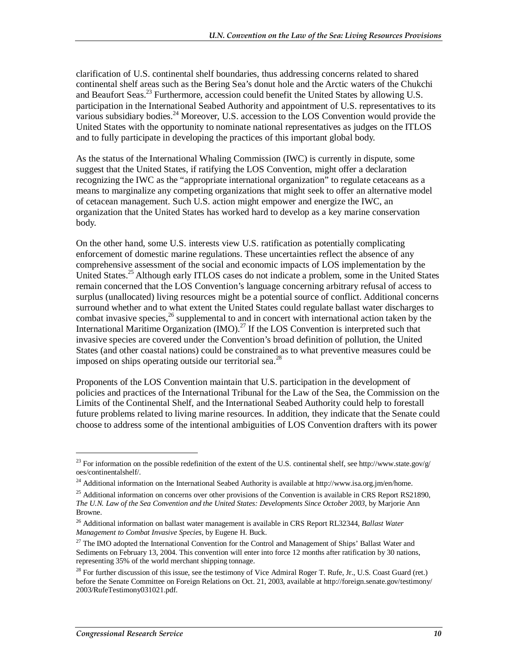clarification of U.S. continental shelf boundaries, thus addressing concerns related to shared continental shelf areas such as the Bering Sea's donut hole and the Arctic waters of the Chukchi and Beaufort Seas.<sup>23</sup> Furthermore, accession could benefit the United States by allowing U.S. participation in the International Seabed Authority and appointment of U.S. representatives to its various subsidiary bodies.<sup>24</sup> Moreover, U.S. accession to the LOS Convention would provide the United States with the opportunity to nominate national representatives as judges on the ITLOS and to fully participate in developing the practices of this important global body.

As the status of the International Whaling Commission (IWC) is currently in dispute, some suggest that the United States, if ratifying the LOS Convention, might offer a declaration recognizing the IWC as the "appropriate international organization" to regulate cetaceans as a means to marginalize any competing organizations that might seek to offer an alternative model of cetacean management. Such U.S. action might empower and energize the IWC, an organization that the United States has worked hard to develop as a key marine conservation body.

On the other hand, some U.S. interests view U.S. ratification as potentially complicating enforcement of domestic marine regulations. These uncertainties reflect the absence of any comprehensive assessment of the social and economic impacts of LOS implementation by the United States.<sup>25</sup> Although early ITLOS cases do not indicate a problem, some in the United States remain concerned that the LOS Convention's language concerning arbitrary refusal of access to surplus (unallocated) living resources might be a potential source of conflict. Additional concerns surround whether and to what extent the United States could regulate ballast water discharges to combat invasive species,<sup>26</sup> supplemental to and in concert with international action taken by the International Maritime Organization  $(IMO)^{27}$  If the LOS Convention is interpreted such that invasive species are covered under the Convention's broad definition of pollution, the United States (and other coastal nations) could be constrained as to what preventive measures could be imposed on ships operating outside our territorial sea.<sup>28</sup>

Proponents of the LOS Convention maintain that U.S. participation in the development of policies and practices of the International Tribunal for the Law of the Sea, the Commission on the Limits of the Continental Shelf, and the International Seabed Authority could help to forestall future problems related to living marine resources. In addition, they indicate that the Senate could choose to address some of the intentional ambiguities of LOS Convention drafters with its power

<u>.</u>

<sup>&</sup>lt;sup>23</sup> For information on the possible redefinition of the extent of the U.S. continental shelf, see http://www.state.gov/g/ oes/continentalshelf/.

<sup>&</sup>lt;sup>24</sup> Additional information on the International Seabed Authority is available at http://www.isa.org.jm/en/home.

 $^{25}$  Additional information on concerns over other provisions of the Convention is available in CRS Report RS21890, *The U.N. Law of the Sea Convention and the United States: Developments Since October 2003*, by Marjorie Ann Browne.

<sup>26</sup> Additional information on ballast water management is available in CRS Report RL32344, *Ballast Water Management to Combat Invasive Species*, by Eugene H. Buck.

<sup>&</sup>lt;sup>27</sup> The IMO adopted the International Convention for the Control and Management of Ships' Ballast Water and Sediments on February 13, 2004. This convention will enter into force 12 months after ratification by 30 nations, representing 35% of the world merchant shipping tonnage.

<sup>&</sup>lt;sup>28</sup> For further discussion of this issue, see the testimony of Vice Admiral Roger T. Rufe, Jr., U.S. Coast Guard (ret.) before the Senate Committee on Foreign Relations on Oct. 21, 2003, available at http://foreign.senate.gov/testimony/ 2003/RufeTestimony031021.pdf.